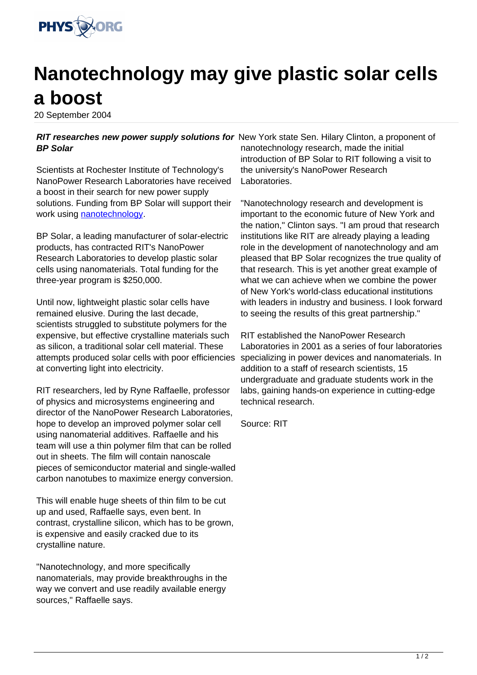

## **Nanotechnology may give plastic solar cells a boost**

20 September 2004

## RIT researches new power supply solutions for New York state Sen. Hilary Clinton, a proponent of **BP Solar**

Scientists at Rochester Institute of Technology's NanoPower Research Laboratories have received a boost in their search for new power supply solutions. Funding from BP Solar will support their work using [nanotechnology.](http://www.physorg.com/search/nanotechnology)

BP Solar, a leading manufacturer of solar-electric products, has contracted RIT's NanoPower Research Laboratories to develop plastic solar cells using nanomaterials. Total funding for the three-year program is \$250,000.

Until now, lightweight plastic solar cells have remained elusive. During the last decade, scientists struggled to substitute polymers for the expensive, but effective crystalline materials such as silicon, a traditional solar cell material. These attempts produced solar cells with poor efficiencies at converting light into electricity.

RIT researchers, led by Ryne Raffaelle, professor of physics and microsystems engineering and director of the NanoPower Research Laboratories, hope to develop an improved polymer solar cell using nanomaterial additives. Raffaelle and his team will use a thin polymer film that can be rolled out in sheets. The film will contain nanoscale pieces of semiconductor material and single-walled carbon nanotubes to maximize energy conversion.

This will enable huge sheets of thin film to be cut up and used, Raffaelle says, even bent. In contrast, crystalline silicon, which has to be grown, is expensive and easily cracked due to its crystalline nature.

"Nanotechnology, and more specifically nanomaterials, may provide breakthroughs in the way we convert and use readily available energy sources," Raffaelle says.

nanotechnology research, made the initial introduction of BP Solar to RIT following a visit to the university's NanoPower Research Laboratories.

"Nanotechnology research and development is important to the economic future of New York and the nation," Clinton says. "I am proud that research institutions like RIT are already playing a leading role in the development of nanotechnology and am pleased that BP Solar recognizes the true quality of that research. This is yet another great example of what we can achieve when we combine the power of New York's world-class educational institutions with leaders in industry and business. I look forward to seeing the results of this great partnership."

RIT established the NanoPower Research Laboratories in 2001 as a series of four laboratories specializing in power devices and nanomaterials. In addition to a staff of research scientists, 15 undergraduate and graduate students work in the labs, gaining hands-on experience in cutting-edge technical research.

Source: RIT